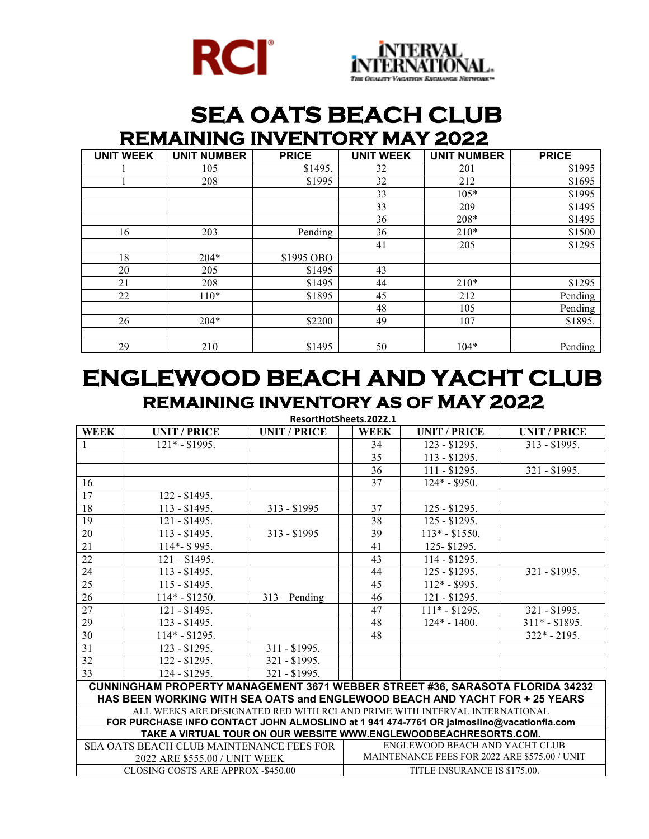



## **SEA OATS BEACH CLUB REMAINING INVENTORY MAY 2022**

| <b>UNIT WEEK</b> | <b>UNIT NUMBER</b> | <b>PRICE</b> | <b>UNIT WEEK</b> | <b>UNIT NUMBER</b> | <b>PRICE</b> |
|------------------|--------------------|--------------|------------------|--------------------|--------------|
|                  | 105                | \$1495.      | 32               | 201                | \$1995       |
|                  | 208                | \$1995       | 32               | 212                | \$1695       |
|                  |                    |              | 33               | $105*$             | \$1995       |
|                  |                    |              | 33               | 209                | \$1495       |
|                  |                    |              | 36               | 208*               | \$1495       |
| 16               | 203                | Pending      | 36               | $210*$             | \$1500       |
|                  |                    |              | 41               | 205                | \$1295       |
| 18               | $204*$             | \$1995 OBO   |                  |                    |              |
| 20               | 205                | \$1495       | 43               |                    |              |
| 21               | 208                | \$1495       | 44               | $210*$             | \$1295       |
| 22               | $110*$             | \$1895       | 45               | 212                | Pending      |
|                  |                    |              | 48               | 105                | Pending      |
| 26               | $204*$             | \$2200       | 49               | 107                | \$1895.      |
|                  |                    |              |                  |                    |              |
| 29               | 210                | \$1495       | 50               | $104*$             | Pending      |

## **ENGLEWOOD BEACH AND YACHT CLUB REMAINING INVENTORY AS OF MAY 2022**

**ResortHotSheets.2022.1**

| <b>WEEK</b>                                                                                                          | <b>UNIT / PRICE</b>           | <b>UNIT / PRICE</b> | <b>WEEK</b>                                                                     | <b>UNIT / PRICE</b> | <b>UNIT / PRICE</b> |  |  |  |
|----------------------------------------------------------------------------------------------------------------------|-------------------------------|---------------------|---------------------------------------------------------------------------------|---------------------|---------------------|--|--|--|
|                                                                                                                      | $121* - $1995.$               |                     | 34                                                                              | 123 - \$1295.       | 313 - \$1995.       |  |  |  |
|                                                                                                                      |                               |                     | 35                                                                              | $113 - $1295.$      |                     |  |  |  |
|                                                                                                                      |                               |                     | 36                                                                              | $111 - $1295.$      | 321 - \$1995.       |  |  |  |
| 16                                                                                                                   |                               |                     | 37                                                                              | $124* - $950.$      |                     |  |  |  |
| 17                                                                                                                   | 122 - \$1495.                 |                     |                                                                                 |                     |                     |  |  |  |
| 18                                                                                                                   | $113 - $1495.$                | $313 - $1995$       | 37                                                                              | $125 - $1295.$      |                     |  |  |  |
| 19                                                                                                                   | 121 - \$1495.                 |                     | 38                                                                              | 125 - \$1295.       |                     |  |  |  |
| 20                                                                                                                   | $113 - $1495.$                | $313 - $1995$       | 39                                                                              | $113* - $1550.$     |                     |  |  |  |
| 21                                                                                                                   | 114*- \$995.                  |                     | 41                                                                              | 125-\$1295.         |                     |  |  |  |
| 22                                                                                                                   | $121 - $1495.$                |                     | 43                                                                              | 114 - \$1295.       |                     |  |  |  |
| 24                                                                                                                   | $113 - $1495.$                |                     | 44                                                                              | $125 - $1295.$      | 321 - \$1995.       |  |  |  |
| 25                                                                                                                   | 115 - \$1495.                 |                     | 45                                                                              | $112* - $995.$      |                     |  |  |  |
| 26                                                                                                                   | $114* - $1250.$               | $313 -$ Pending     | 46                                                                              | 121 - \$1295.       |                     |  |  |  |
| 27                                                                                                                   | 121 - \$1495.                 |                     | 47                                                                              | $111* - $1295.$     | 321 - \$1995.       |  |  |  |
| 29                                                                                                                   | 123 - \$1495.                 |                     | 48                                                                              | $124* - 1400.$      | $311* - $1895.$     |  |  |  |
| 30                                                                                                                   | $114* - $1295.$               |                     | 48                                                                              |                     | $322* - 2195.$      |  |  |  |
| 31                                                                                                                   | 123 - \$1295.                 | 311 - \$1995.       |                                                                                 |                     |                     |  |  |  |
| 32                                                                                                                   | $122 - $1295.$                | 321 - \$1995.       |                                                                                 |                     |                     |  |  |  |
| 33                                                                                                                   | 124 - \$1295.                 | 321 - \$1995.       |                                                                                 |                     |                     |  |  |  |
| CUNNINGHAM PROPERTY MANAGEMENT 3671 WEBBER STREET #36, SARASOTA FLORIDA 34232                                        |                               |                     |                                                                                 |                     |                     |  |  |  |
| HAS BEEN WORKING WITH SEA OATS and ENGLEWOOD BEACH AND YACHT FOR + 25 YEARS                                          |                               |                     |                                                                                 |                     |                     |  |  |  |
| ALL WEEKS ARE DESIGNATED RED WITH RCI AND PRIME WITH INTERVAL INTERNATIONAL                                          |                               |                     |                                                                                 |                     |                     |  |  |  |
| FOR PURCHASE INFO CONTACT JOHN ALMOSLINO at 1 941 474-7761 OR jalmoslino@vacationfla.com                             |                               |                     |                                                                                 |                     |                     |  |  |  |
| TAKE A VIRTUAL TOUR ON OUR WEBSITE WWW.ENGLEWOODBEACHRESORTS.COM.<br><b>SEA OATS BEACH CLUB MAINTENANCE FEES FOR</b> |                               |                     |                                                                                 |                     |                     |  |  |  |
|                                                                                                                      |                               |                     | ENGLEWOOD BEACH AND YACHT CLUB<br>MAINTENANCE FEES FOR 2022 ARE \$575.00 / UNIT |                     |                     |  |  |  |
|                                                                                                                      | 2022 ARE \$555.00 / UNIT WEEK |                     |                                                                                 |                     |                     |  |  |  |
| CLOSING COSTS ARE APPROX -\$450.00                                                                                   |                               |                     | TITLE INSURANCE IS \$175.00.                                                    |                     |                     |  |  |  |